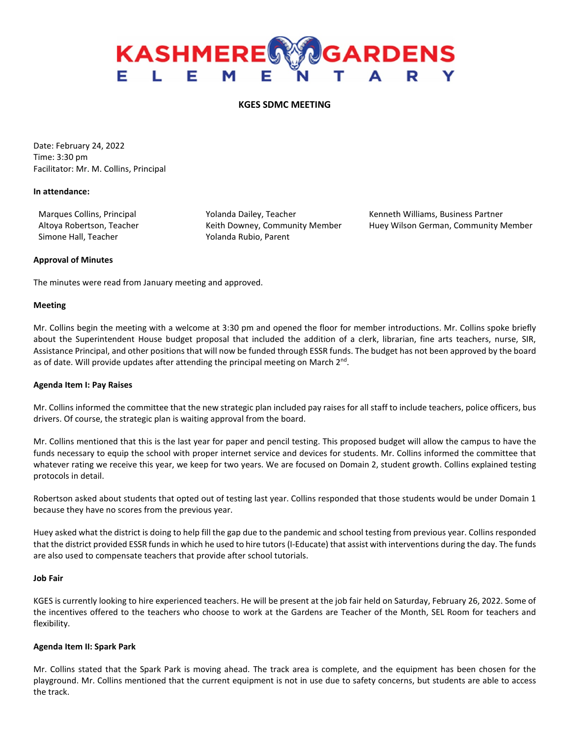# **KASHMERE GARDENS** EL EM

## **KGES SDMC MEETING**

Date: February 24, 2022 Time: 3:30 pm Facilitator: Mr. M. Collins, Principal

#### **In attendance:**

Simone Hall, Teacher Yolanda Rubio, Parent

Marques Collins, Principal **Marques Collins, Principal Yolanda Dailey**, Teacher Kenneth Williams, Business Partner Altoya Robertson, Teacher **Keith Downey, Community Member** Huey Wilson German, Community Member

#### **Approval of Minutes**

The minutes were read from January meeting and approved.

#### **Meeting**

Mr. Collins begin the meeting with a welcome at 3:30 pm and opened the floor for member introductions. Mr. Collins spoke briefly about the Superintendent House budget proposal that included the addition of a clerk, librarian, fine arts teachers, nurse, SIR, Assistance Principal, and other positions that will now be funded through ESSR funds. The budget has not been approved by the board as of date. Will provide updates after attending the principal meeting on March 2<sup>nd</sup>.

#### **Agenda Item I: Pay Raises**

Mr. Collins informed the committee that the new strategic plan included pay raises for all staff to include teachers, police officers, bus drivers. Of course, the strategic plan is waiting approval from the board.

Mr. Collins mentioned that this is the last year for paper and pencil testing. This proposed budget will allow the campus to have the funds necessary to equip the school with proper internet service and devices for students. Mr. Collins informed the committee that whatever rating we receive this year, we keep for two years. We are focused on Domain 2, student growth. Collins explained testing protocols in detail.

Robertson asked about students that opted out of testing last year. Collins responded that those students would be under Domain 1 because they have no scores from the previous year.

Huey asked what the district is doing to help fill the gap due to the pandemic and school testing from previous year. Collins responded that the district provided ESSR funds in which he used to hire tutors (I-Educate) that assist with interventions during the day. The funds are also used to compensate teachers that provide after school tutorials.

## **Job Fair**

KGES is currently looking to hire experienced teachers. He will be present at the job fair held on Saturday, February 26, 2022. Some of the incentives offered to the teachers who choose to work at the Gardens are Teacher of the Month, SEL Room for teachers and flexibility.

#### **Agenda Item II: Spark Park**

Mr. Collins stated that the Spark Park is moving ahead. The track area is complete, and the equipment has been chosen for the playground. Mr. Collins mentioned that the current equipment is not in use due to safety concerns, but students are able to access the track.